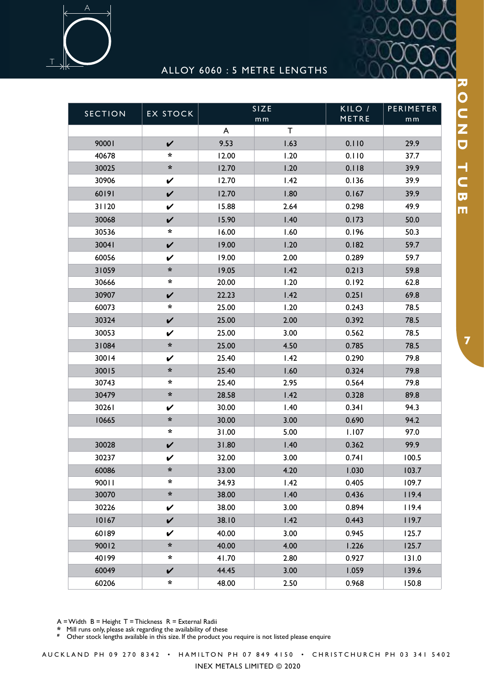

## ALLOY 6060 : 5 METRE LENGTHS

| <b>SECTION</b> | <b>EX STOCK</b>      | SIZE<br>m <sub>m</sub> |             | KILO /<br>METRE | PERIMETER<br>m <sub>m</sub> |
|----------------|----------------------|------------------------|-------------|-----------------|-----------------------------|
|                |                      | A                      | $\mathsf T$ |                 |                             |
| 90001          | $\checkmark$         | 9.53                   | 1.63        | 0.110           | 29.9                        |
| 40678          | *                    | 12.00                  | 1.20        | 0.110           | 37.7                        |
| 30025          | $\boldsymbol{\star}$ | 12.70                  | 1.20        | 0.118           | 39.9                        |
| 30906          | V                    | 12.70                  | 1.42        | 0.136           | 39.9                        |
| 60191          | $\checkmark$         | 12.70                  | 1.80        | 0.167           | 39.9                        |
| 31120          | V                    | 15.88                  | 2.64        | 0.298           | 49.9                        |
| 30068          | $\checkmark$         | 15.90                  | 1.40        | 0.173           | 50.0                        |
| 30536          | $\ast$               | 16.00                  | 1.60        | 0.196           | 50.3                        |
| 30041          | $\checkmark$         | 19.00                  | 1.20        | 0.182           | 59.7                        |
| 60056          | V                    | 19.00                  | 2.00        | 0.289           | 59.7                        |
| 31059          | *                    | 19.05                  | 1.42        | 0.213           | 59.8                        |
| 30666          | *                    | 20.00                  | 1.20        | 0.192           | 62.8                        |
| 30907          | V                    | 22.23                  | 1.42        | 0.251           | 69.8                        |
| 60073          | *                    | 25.00                  | 1.20        | 0.243           | 78.5                        |
| 30324          | $\checkmark$         | 25.00                  | 2.00        | 0.392           | 78.5                        |
| 30053          | V                    | 25.00                  | 3.00        | 0.562           | 78.5                        |
| 31084          | $\boldsymbol{\star}$ | 25.00                  | 4.50        | 0.785           | 78.5                        |
| 30014          | V                    | 25.40                  | 1.42        | 0.290           | 79.8                        |
| 30015          | $\boldsymbol{\star}$ | 25.40                  | 1.60        | 0.324           | 79.8                        |
| 30743          | *                    | 25.40                  | 2.95        | 0.564           | 79.8                        |
| 30479          | *                    | 28.58                  | 1.42        | 0.328           | 89.8                        |
| 30261          | V                    | 30.00                  | 1.40        | 0.341           | 94.3                        |
| 10665          | $\boldsymbol{\star}$ | 30.00                  | 3.00        | 0.690           | 94.2                        |
|                | *                    | 31.00                  | 5.00        | 1.107           | 97.0                        |
| 30028          | V                    | 31.80                  | 1.40        | 0.362           | 99.9                        |
| 30237          | V                    | 32.00                  | 3.00        | 0.741           | 100.5                       |
| 60086          | ∗                    | 33.00                  | 4.20        | 1.030           | 103.7                       |
| 90011          | *                    | 34.93                  | 1.42        | 0.405           | 109.7                       |
| 30070          | $\ast$               | 38.00                  | 1.40        | 0.436           | 119.4                       |
| 30226          | $\checkmark$         | 38.00                  | 3.00        | 0.894           | 119.4                       |
| 10167          | $\checkmark$         | 38.10                  | 1.42        | 0.443           | 119.7                       |
| 60189          | V                    | 40.00                  | 3.00        | 0.945           | 125.7                       |
| 90012          | $\boldsymbol{\star}$ | 40.00                  | 4.00        | 1.226           | 125.7                       |
| 40199          | *                    | 41.70                  | 2.80        | 0.927           | 131.0                       |
| 60049          | $\checkmark$         | 44.45                  | 3.00        | 1.059           | 139.6                       |
| 60206          | *                    | 48.00                  | 2.50        | 0.968           | 150.8                       |

**\*** Mill runs only, please ask regarding the availability of these

<sup>2</sup> This cases only, prease ask regarding are availablisty of all the conduct your equire is not listed please enquire

A U C K L A N D P H 0 9 2 7 0 8 3 4 2 • H A M I L T ON P H 0 7 8 4 9 4 1 5 0 • C H R I S T C H U R C H P H 0 3 3 4 1 5 4 0 2